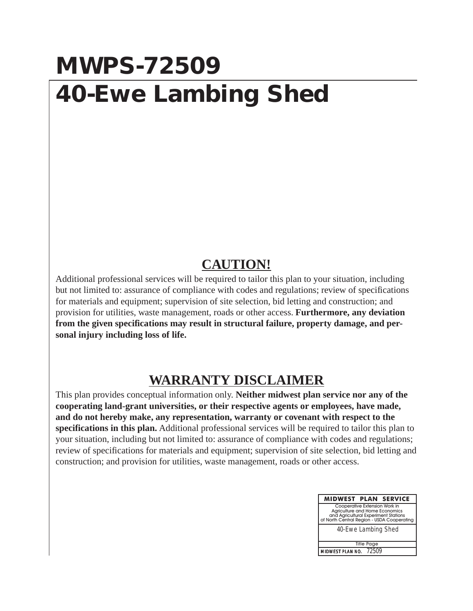## **MWPS-72509 40-Ewe Lambing Shed**

## **CAUTION!**

Additional professional services will be required to tailor this plan to your situation, including but not limited to: assurance of compliance with codes and regulations; review of specifications for materials and equipment; supervision of site selection, bid letting and construction; and provision for utilities, waste management, roads or other access. **Furthermore, any deviation from the given specifications may result in structural failure, property damage, and personal injury including loss of life.**

## **WARRANTY DISCLAIMER**

This plan provides conceptual information only. **Neither midwest plan service nor any of the cooperating land-grant universities, or their respective agents or employees, have made, and do not hereby make, any representation, warranty or covenant with respect to the specifications in this plan.** Additional professional services will be required to tailor this plan to your situation, including but not limited to: assurance of compliance with codes and regulations; review of specifications for materials and equipment; supervision of site selection, bid letting and construction; and provision for utilities, waste management, roads or other access.

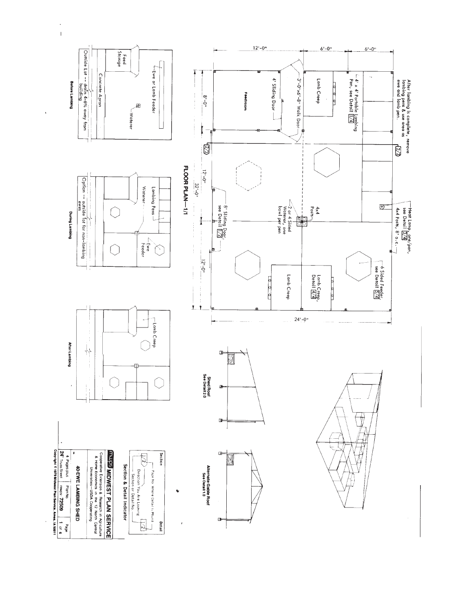

 $\bar{\phantom{a}}$  $\bar{1}$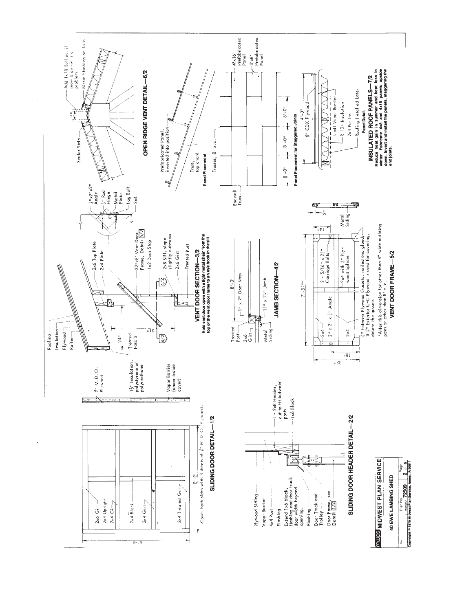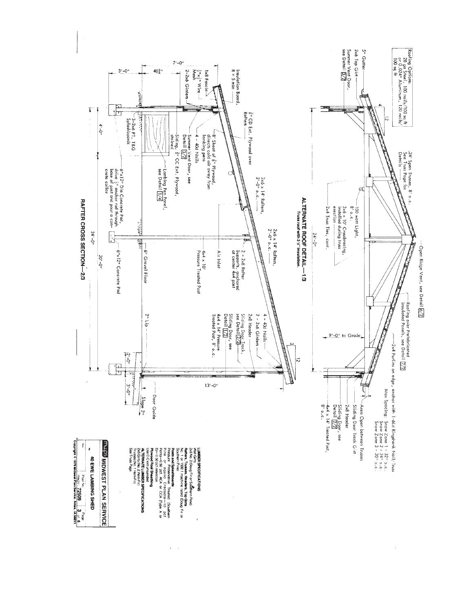

.